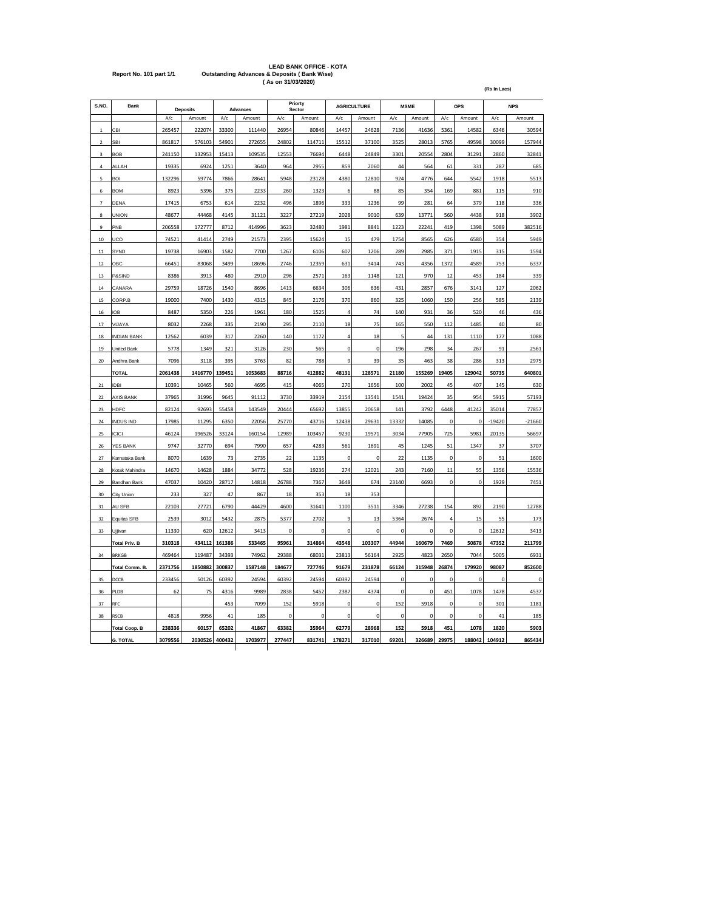## **LEAD BANK OFFICE - KOTA Report No. 101 part 1/1 Outstanding Advances & Deposits ( Bank Wise) ( As on 31/03/2020)**

| S.NO.          | Bank                 |         | <b>Deposits</b> |        | Advances |        | Priorty<br>Sector |           | <b>AGRICULTURE</b> |           | <b>MSME</b> |                | OPS       |          | <b>NPS</b> |
|----------------|----------------------|---------|-----------------|--------|----------|--------|-------------------|-----------|--------------------|-----------|-------------|----------------|-----------|----------|------------|
|                |                      | A/c     | Amount          | A/c    | Amount   | A/c    | Amount            | A/c       | Amount             | A/c       | Amount      | A/c            | Amount    | A/c      | Amount     |
| 1              | CBI                  | 265457  | 222074          | 33300  | 111440   | 26954  | 80846             | 14457     | 24628              | 7136      | 41636       | 5361           | 14582     | 6346     | 30594      |
| $\overline{2}$ | <b>SBI</b>           | 861817  | 576103          | 54901  | 272655   | 24802  | 114711            | 15512     | 37100              | 3525      | 28013       | 5765           | 49598     | 30099    | 157944     |
| 3              | <b>BOB</b>           | 241150  | 132953          | 15413  | 109535   | 12553  | 76694             | 6448      | 24849              | 3301      | 20554       | 2804           | 31291     | 2860     | 32841      |
| $\overline{a}$ | ALLAH                | 19335   | 6924            | 1251   | 3640     | 964    | 2955              | 859       | 2060               | 44        | 564         | 61             | 331       | 287      | 685        |
| 5              | <b>BOI</b>           | 132296  | 59774           | 7866   | 28641    | 5948   | 23128             | 4380      | 12810              | 924       | 4776        | 644            | 5542      | 1918     | 5513       |
| 6              | <b>BOM</b>           | 8923    | 5396            | 375    | 2233     | 260    | 1323              | 6         | 88                 | 85        | 354         | 169            | 881       | 115      | 910        |
| $\overline{7}$ | DENA                 | 17415   | 6753            | 614    | 2232     | 496    | 1896              | 333       | 1236               | 99        | 281         | 64             | 379       | 118      | 336        |
| 8              | <b>UNION</b>         | 48677   | 44468           | 4145   | 31121    | 3227   | 27219             | 2028      | 9010               | 639       | 13771       | 560            | 4438      | 918      | 3902       |
| $\mathbf{q}$   | PNB                  | 206558  | 172777          | 8712   | 414996   | 3623   | 32480             | 1981      | 8841               | 1223      | 22241       | 419            | 1398      | 5089     | 382516     |
| 10             | UCO                  | 74521   | 41414           | 2749   | 21573    | 2395   | 15624             | 15        | 479                | 1754      | 8565        | 626            | 6580      | 354      | 5949       |
| 11             | SYND                 | 19738   | 16903           | 1582   | 7700     | 1267   | 6106              | 607       | 1206               | 289       | 2985        | 371            | 1915      | 315      | 1594       |
| 12             | OBC                  | 66451   | 83068           | 3499   | 18696    | 2746   | 12359             | 631       | 3414               | 743       | 4356        | 1372           | 4589      | 753      | 6337       |
| 13             | P&SIND               | 8386    | 3913            | 480    | 2910     | 296    | 2571              | 163       | 1148               | 121       | 970         | 12             | 453       | 184      | 339        |
| 14             | CANARA               | 29759   | 18726           | 1540   | 8696     | 1413   | 6634              | 306       | 636                | 431       | 2857        | 676            | 3141      | 127      | 2062       |
| 15             | CORP.B               | 19000   | 7400            | 1430   | 4315     | 845    | 2176              | 370       | 860                | 325       | 1060        | 150            | 256       | 585      | 2139       |
| $16\,$         | IOB                  | 8487    | 5350            | 226    | 1961     | 180    | 1525              | 4         | 74                 | 140       | 931         | 36             | 520       | 46       | 436        |
| 17             | VIJAYA               | 8032    | 2268            | 335    | 2190     | 295    | 2110              | 18        | 75                 | 165       | 550         | 112            | 1485      | 40       | 80         |
| $18\,$         | <b>INDIAN BANK</b>   | 12562   | 6039            | 317    | 2260     | 140    | 1172              | 4         | 18                 | 5         | 44          | 131            | 1110      | 177      | 1088       |
| 19             | United Bank          | 5778    | 1349            | 321    | 3126     | 230    | 565               | $\pmb{0}$ | $\pmb{0}$          | 196       | 298         | 34             | 267       | 91       | 2561       |
| 20             | Andhra Bank          | 7096    | 3118            | 395    | 3763     | 82     | 788               | 9         | 39                 | 35        | 463         | 38             | 286       | 313      | 2975       |
|                | <b>TOTAL</b>         | 2061438 | 1416770         | 139451 | 1053683  | 88716  | 412882            | 48131     | 128571             | 21180     | 155269      | 19405          | 129042    | 50735    | 640801     |
| 21             | <b>IDBI</b>          | 10391   | 10465           | 560    | 4695     | 415    | 4065              | 270       | 1656               | 100       | 2002        | 45             | 407       | 145      | 630        |
| 22             | AXIS BANK            | 37965   | 31996           | 9645   | 91112    | 3730   | 33919             | 2154      | 13541              | 1541      | 19424       | 35             | 954       | 5915     | 57193      |
| 23             | HDFC                 | 82124   | 92693           | 55458  | 143549   | 20444  | 65692             | 13855     | 20658              | 141       | 3792        | 6448           | 41242     | 35014    | 77857      |
| 24             | <b>INDUS IND</b>     | 17985   | 11295           | 6350   | 22056    | 25770  | 43716             | 12438     | 29631              | 13332     | 14085       | 0              | $\Omega$  | $-19420$ | $-21660$   |
| 25             | ICICI                | 46124   | 196526          | 33124  | 160154   | 12989  | 103457            | 9230      | 19571              | 3034      | 77905       | 725            | 5981      | 20135    | 56697      |
| 26             | YES BANK             | 9747    | 32770           | 694    | 7990     | 657    | 4283              | 561       | 1691               | 45        | 1245        | 51             | 1347      | 37       | 3707       |
| 27             | Karnataka Bank       | 8070    | 1639            | 73     | 2735     | 22     | 1135              | 0         | 0                  | 22        | 1135        | $\mathbf 0$    | $\pmb{0}$ | 51       | 1600       |
| 28             | Kotak Mahindra       | 14670   | 14628           | 1884   | 34772    | 528    | 19236             | 274       | 12021              | 243       | 7160        | 11             | 55        | 1356     | 15536      |
| 29             | Bandhan Bank         | 47037   | 10420           | 28717  | 14818    | 26788  | 7367              | 3648      | 674                | 23140     | 6693        | $\mathbf 0$    | $\pmb{0}$ | 1929     | 7451       |
| 30             | City Union           | 233     | 327             | 47     | 867      | 18     | 353               | 18        | 353                |           |             |                |           |          |            |
| 31             | AU SFB               | 22103   | 27721           | 6790   | 44429    | 4600   | 31641             | 1100      | 3511               | 3346      | 27238       | 154            | 892       | 2190     | 12788      |
| 32             | Equitas SFB          | 2539    | 3012            | 5432   | 2875     | 5377   | 2702              | 9         | 13                 | 5364      | 2674        | $\overline{4}$ | 15        | 55       | 173        |
| 33             | Ujjivan              | 11330   | 620             | 12612  | 3413     | 0      | 0                 | 0         | 0                  | 0         | 0           | $\pmb{0}$      | 0         | 12612    | 3413       |
|                | <b>Total Priv. B</b> | 310318  | 434112          | 161386 | 533465   | 95961  | 314864            | 43548     | 103307             | 44944     | 160679      | 7469           | 50878     | 47352    | 211799     |
| 34             | <b>BRKGB</b>         | 469464  | 119487          | 34393  | 74962    | 29388  | 68031             | 23813     | 56164              | 2925      | 4823        | 2650           | 7044      | 5005     | 6931       |
|                | Total Comm. B.       | 2371756 | 1850882         | 300837 | 1587148  | 184677 | 727746            | 91679     | 231878             | 66124     | 315948      | 26874          | 179920    | 98087    | 852600     |
| 35             | DCCB                 | 233456  | 50126           | 60392  | 24594    | 60392  | 24594             | 60392     | 24594              | 0         | 0           | 0              | 0         | 0        |            |
| 36             | PLDB                 | 62      | 75              | 4316   | 9989     | 2838   | 5452              | 2387      | 4374               | 0         | $\pmb{0}$   | 451            | 1078      | 1478     | 4537       |
| 37             | RFC                  |         |                 | 453    | 7099     | 152    | 5918              | 0         | 0                  | 152       | 5918        | $\pmb{0}$      | 0         | 301      | 1181       |
| 38             | RSCB                 | 4818    | 9956            | 41     | 185      | 0      | $\mathbf 0$       | 0         | $\pmb{0}$          | $\pmb{0}$ | $\mathbf 0$ | $\pmb{0}$      | $\pmb{0}$ | 41       | 185        |
|                | <b>Total Coop. B</b> | 238336  | 60157           | 65202  | 41867    | 63382  | 35964             | 62779     | 28968              | 152       | 5918        | 451            | 1078      | 1820     | 5903       |
|                | <b>G. TOTAL</b>      | 3079556 | 2030526         | 400432 | 1703977  | 277447 | 831741            | 178271    | 317010             | 69201     | 326689      | 29975          | 188042    | 104912   | 865434     |

**(Rs In Lacs)**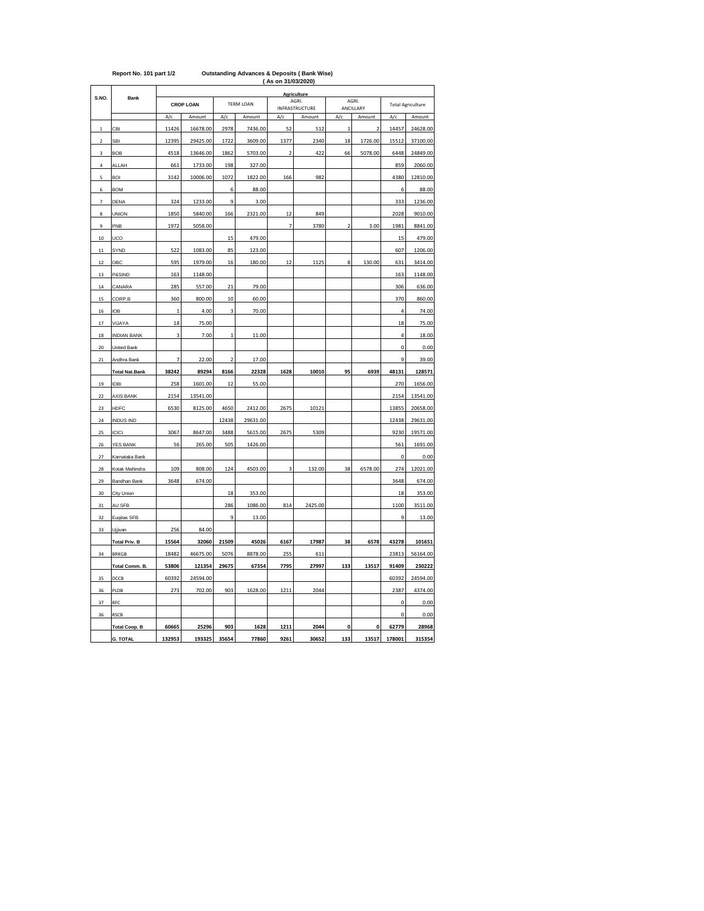| Report No. 101 part 1/2 | <b>Outstanding Advances &amp; Deposits (Bank Wise)</b> |
|-------------------------|--------------------------------------------------------|
|                         | (As on 31/03/2020)                                     |
|                         |                                                        |

| S.NO.                    | Bank                  |              |                  |                |                  |                          | Agriculture             |                         |                    |             |                          |
|--------------------------|-----------------------|--------------|------------------|----------------|------------------|--------------------------|-------------------------|-------------------------|--------------------|-------------|--------------------------|
|                          |                       |              | <b>CROP LOAN</b> |                | <b>TERM LOAN</b> |                          | AGRI.<br>INFRASTRUCTURE |                         | AGRI.<br>ANCILLARY |             | <b>Total Agriculture</b> |
|                          |                       | A/c          | Amount           | A/c            | Amount           | A/c                      | Amount                  | A/c                     | Amount             | A/c         | Amount                   |
| $\mathbf{1}$             | CBI                   | 11426        | 16678.00         | 2978           | 7436.00          | 52                       | 512                     | $\overline{1}$          | $\overline{2}$     | 14457       | 24628.00                 |
| $\overline{\phantom{a}}$ | <b>SBI</b>            | 12395        | 29425.00         | 1722           | 3609.00          | 1377                     | 2340                    | 18                      | 1726.00            | 15512       | 37100.00                 |
| 3                        | <b>BOB</b>            | 4518         | 13646.00         | 1862           | 5703.00          | $\overline{2}$           | 422                     | 66                      | 5078.00            | 6448        | 24849.00                 |
| $\overline{a}$           | ALLAH                 | 661          | 1733.00          | 198            | 327.00           |                          |                         |                         |                    | 859         | 2060.00                  |
| 5                        | <b>BOI</b>            | 3142         | 10006.00         | 1072           | 1822.00          | 166                      | 982                     |                         |                    | 4380        | 12810.00                 |
| 6                        | <b>BOM</b>            |              |                  | 6              | 88.00            |                          |                         |                         |                    | 6           | 88.00                    |
| 7                        | DENA                  | 324          | 1233.00          | 9              | 3.00             |                          |                         |                         |                    | 333         | 1236.00                  |
| 8                        | <b>UNION</b>          | 1850         | 5840.00          | 166            | 2321.00          | 12                       | 849                     |                         |                    | 2028        | 9010.00                  |
| 9                        | PNB                   | 1972         | 5058.00          |                |                  | $\overline{\phantom{a}}$ | 3780                    | $\overline{\mathbf{c}}$ | 3.00               | 1981        | 8841.00                  |
| 10                       | UCO                   |              |                  | 15             | 479.00           |                          |                         |                         |                    | 15          | 479.00                   |
| $11\,$                   | SYND                  | 522          | 1083.00          | 85             | 123.00           |                          |                         |                         |                    | 607         | 1206.00                  |
| 12                       | OBC                   | 595          | 1979.00          | 16             | 180.00           | 12                       | 1125                    | 8                       | 130.00             | 631         | 3414.00                  |
| 13                       | P&SIND                | 163          | 1148.00          |                |                  |                          |                         |                         |                    | 163         | 1148.00                  |
| 14                       | CANARA                | 285          | 557.00           | 21             | 79.00            |                          |                         |                         |                    | 306         | 636.00                   |
| 15                       | CORP.B                | 360          | 800.00           | 10             | 60.00            |                          |                         |                         |                    | 370         | 860.00                   |
| 16                       | <b>IOB</b>            | $\mathbf{1}$ | 4.00             | 3              | 70.00            |                          |                         |                         |                    | 4           | 74.00                    |
| 17                       | VIJAYA                | 18           | 75.00            |                |                  |                          |                         |                         |                    | 18          | 75.00                    |
| 18                       | <b>INDIAN BANK</b>    | 3            | 7.00             | $\mathbf{1}$   | 11.00            |                          |                         |                         |                    | 4           | 18.00                    |
| 20                       | United Bank           |              |                  |                |                  |                          |                         |                         |                    | $\mathbf 0$ | 0.00                     |
| 21                       | Andhra Bank           | 7            | 22.00            | $\overline{2}$ | 17.00            |                          |                         |                         |                    | 9           | 39.00                    |
|                          | <b>Total Nat.Bank</b> | 38242        | 89294            | 8166           | 22328            | 1628                     | 10010                   | 95                      | 6939               | 48131       | 128571                   |
| 19                       | <b>IDBI</b>           | 258          | 1601.00          | 12             | 55.00            |                          |                         |                         |                    | 270         | 1656.00                  |
| 22                       | <b>AXIS BANK</b>      | 2154         | 13541.00         |                |                  |                          |                         |                         |                    | 2154        | 13541.00                 |
| 23                       | <b>HDFC</b>           | 6530         | 8125.00          | 4650           | 2412.00          | 2675                     | 10121                   |                         |                    | 13855       | 20658.00                 |
| 24                       | <b>INDUS IND</b>      |              |                  | 12438          | 29631.00         |                          |                         |                         |                    | 12438       | 29631.00                 |
| 25                       | ICICI                 | 3067         | 8647.00          | 3488           | 5615.00          | 2675                     | 5309                    |                         |                    | 9230        | 19571.00                 |
| 26                       | YES BANK              | 56           | 265.00           | 505            | 1426.00          |                          |                         |                         |                    | 561         | 1691.00                  |
| 27                       | Karnataka Bank        |              |                  |                |                  |                          |                         |                         |                    | 0           | 0.00                     |
| 28                       | Kotak Mahindra        | 109          | 808.00           | 124            | 4503.00          | 3                        | 132.00                  | 38                      | 6578.00            | 274         | 12021.00                 |
| 29                       | Bandhan Bank          | 3648         | 674.00           |                |                  |                          |                         |                         |                    | 3648        | 674.00                   |
| 30                       | City Union            |              |                  | 18             | 353.00           |                          |                         |                         |                    | 18          | 353.00                   |
| 31                       | AU SFB                |              |                  | 286            | 1086.00          | 814                      | 2425.00                 |                         |                    | 1100        | 3511.00                  |
| 32                       | Euqitas SFB           |              |                  | 9              | 13.00            |                          |                         |                         |                    | 9           | 13.00                    |
| 33                       | Ujjivan               | 256          | 84.00            |                |                  |                          |                         |                         |                    |             |                          |
|                          | <b>Total Priv. B</b>  | 15564        | 32060            | 21509          | 45026            | 6167                     | 17987                   | 38                      | 6578               | 43278       | 101651                   |
| 34                       | <b>BRKGB</b>          | 18482        | 46675.00         | 5076           | 8878.00          | 255                      | 611                     |                         |                    | 23813       | 56164.00                 |
|                          | Total Comm. B.        | 53806        | 121354           | 29675          | 67354            | 7795                     | 27997                   | 133                     | 13517              | 91409       | 230222                   |
| 35                       | DCCB                  | 60392        | 24594.00         |                |                  |                          |                         |                         |                    | 60392       | 24594.00                 |
| 36                       | PLDB                  | 273          | 702.00           | 903            | 1628.00          | 1211                     | 2044                    |                         |                    | 2387        | 4374.00                  |
| 37                       | RFC                   |              |                  |                |                  |                          |                         |                         |                    | 0           | 0.00                     |
| 36                       | <b>RSCB</b>           |              |                  |                |                  |                          |                         |                         |                    | 0           | 0.00                     |
|                          | <b>Total Coop. B</b>  | 60665        | 25296            | 903            | 1628             | 1211                     | 2044                    | 0                       | 0                  | 62779       | 28968                    |
|                          | <b>G. TOTAL</b>       | 132953       | 193325           | 35654          | 77860            | 9261                     | 30652                   | 133                     | 13517              | 178001      | 315354                   |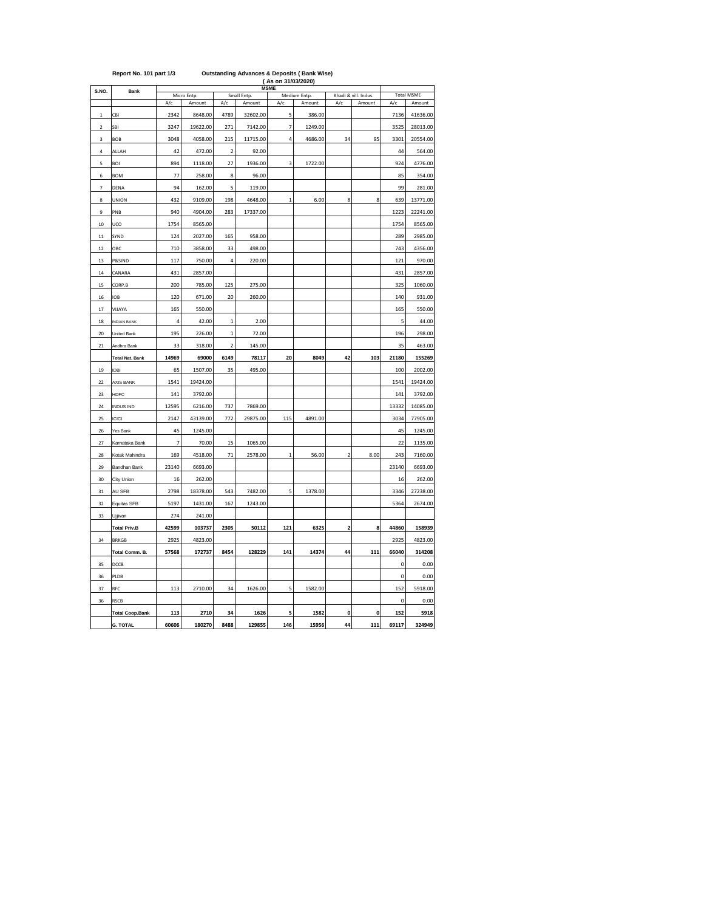| S.NO.                   | <b>Bank</b>            |                |                       |                         |                       | <b>MSME</b>    |                        |                         |                                |             | <b>Total MSME</b> |
|-------------------------|------------------------|----------------|-----------------------|-------------------------|-----------------------|----------------|------------------------|-------------------------|--------------------------------|-------------|-------------------|
|                         |                        | A/c            | Micro Entp.<br>Amount | A/c                     | Small Entp.<br>Amount | A/c            | Medium Entp.<br>Amount | A/c                     | Khadi & vill. Indus.<br>Amount | A/c         | Amount            |
| 1                       | CBI                    | 2342           | 8648.00               | 4789                    | 32602.00              | 5              | 386.00                 |                         |                                | 7136        | 41636.00          |
| $\overline{\mathbf{c}}$ | SBI                    | 3247           | 19622.00              | 271                     | 7142.00               | $\overline{7}$ | 1249.00                |                         |                                | 3525        | 28013.00          |
| 3                       | BOB                    | 3048           | 4058.00               | 215                     | 11715.00              | 4              | 4686.00                | 34                      | 95                             | 3301        | 20554.00          |
| 4                       | ALLAH                  | 42             | 472.00                | $\overline{\mathbf{c}}$ | 92.00                 |                |                        |                         |                                | 44          | 564.00            |
| 5                       | BOI                    | 894            | 1118.00               | 27                      | 1936.00               | 3              | 1722.00                |                         |                                | 924         | 4776.00           |
| 6                       | <b>BOM</b>             | 77             | 258.00                | 8                       | 96.00                 |                |                        |                         |                                | 85          | 354.00            |
| 7                       | DENA                   | 94             | 162.00                | 5                       | 119.00                |                |                        |                         |                                | 99          | 281.00            |
| 8                       | UNION                  | 432            | 9109.00               | 198                     | 4648.00               |                | 6.00                   | 8                       | 8                              | 639         | 13771.00          |
| 9                       | PNB                    | 940            | 4904.00               | 283                     | 17337.00              |                |                        |                         |                                | 1223        | 22241.00          |
| 10                      | UCO                    | 1754           | 8565.00               |                         |                       |                |                        |                         |                                | 1754        | 8565.00           |
| 11                      | SYND                   | 124            | 2027.00               | 165                     | 958.00                |                |                        |                         |                                | 289         | 2985.00           |
| 12                      | OBC                    | 710            | 3858.00               | 33                      | 498.00                |                |                        |                         |                                | 743         | 4356.00           |
| 13                      | P&SIND                 | 117            | 750.00                | 4                       | 220.00                |                |                        |                         |                                | 121         | 970.00            |
| 14                      | CANARA                 | 431            | 2857.00               |                         |                       |                |                        |                         |                                | 431         | 2857.00           |
| 15                      | CORP.B                 | 200            | 785.00                | 125                     | 275.00                |                |                        |                         |                                | 325         | 1060.00           |
| 16                      | IOB                    | 120            | 671.00                | 20                      | 260.00                |                |                        |                         |                                | 140         | 931.00            |
| 17                      | VIJAYA                 | 165            | 550.00                |                         |                       |                |                        |                         |                                | 165         | 550.00            |
| 18                      | <b>INDIAN BANK</b>     | $\overline{4}$ | 42.00                 | $\mathbf{1}$            | 2.00                  |                |                        |                         |                                | 5           | 44.00             |
| 20                      | United Bank            | 195            | 226.00                | $\mathbf{1}$            | 72.00                 |                |                        |                         |                                | 196         | 298.00            |
| 21                      | Andhra Bank            | 33             | 318.00                | $\overline{\mathbf{c}}$ | 145.00                |                |                        |                         |                                | 35          | 463.00            |
|                         | <b>Total Nat. Bank</b> | 14969          | 69000                 | 6149                    | 78117                 | 20             | 8049                   | 42                      | 103                            | 21180       | 155269            |
| 19                      | IDBI                   | 65             | 1507.00               | 35                      | 495.00                |                |                        |                         |                                | 100         | 2002.00           |
| 22                      | AXIS BANK              | 1541           | 19424.00              |                         |                       |                |                        |                         |                                | 1541        | 19424.00          |
| 23                      | <b>HDFC</b>            | 141            | 3792.00               |                         |                       |                |                        |                         |                                | 141         | 3792.00           |
| 24                      | <b>INDUS IND</b>       | 12595          | 6216.00               | 737                     | 7869.00               |                |                        |                         |                                | 13332       | 14085.00          |
| 25                      | ICICI                  | 2147           | 43139.00              | 772                     | 29875.00              | 115            | 4891.00                |                         |                                | 3034        | 77905.00          |
| 26                      | Yes Bank               | 45             | 1245.00               |                         |                       |                |                        |                         |                                | 45          | 1245.00           |
| 27                      | Karnataka Bank         | $\overline{7}$ | 70.00                 | 15                      | 1065.00               |                |                        |                         |                                | 22          | 1135.00           |
| 28                      | Kotak Mahindra         | 169            | 4518.00               | 71                      | 2578.00               | $\mathbf{1}$   | 56.00                  | $\overline{\mathbf{c}}$ | 8.00                           | 243         | 7160.00           |
| 29                      | Bandhan Bank           | 23140          | 6693.00               |                         |                       |                |                        |                         |                                | 23140       | 6693.00           |
| 30                      | City Union             | 16             | 262.00                |                         |                       |                |                        |                         |                                | 16          | 262.00            |
| 31                      | AU SFB                 | 2798           | 18378.00              | 543                     | 7482.00               | 5              | 1378.00                |                         |                                | 3346        | 27238.00          |
| 32                      | Equitas SFB            | 5197           | 1431.00               | 167                     | 1243.00               |                |                        |                         |                                | 5364        | 2674.00           |
| 33                      | Ujjivan                | 274            | 241.00                |                         |                       |                |                        |                         |                                |             |                   |
|                         | <b>Total Priv.B</b>    | 42599          | 103737                | 2305                    | 50112                 | 121            | 6325                   | $\overline{\mathbf{c}}$ | 8                              | 44860       | 158939            |
| 34                      | BRKGB                  | 2925           | 4823.00               |                         |                       |                |                        |                         |                                | 2925        | 4823.00           |
|                         | Total Comm. B.         | 57568          | 172737                | 8454                    | 128229                | 141            | 14374                  | 44                      | 111                            | 66040       | 314208            |
| 35                      | DCCB                   |                |                       |                         |                       |                |                        |                         |                                | $\mathbf 0$ | 0.00              |
| 36                      | PLDB                   |                |                       |                         |                       |                |                        |                         |                                | 0           | 0.00              |
| 37                      | RFC                    | 113            | 2710.00               | 34                      | 1626.00               | 5              | 1582.00                |                         |                                | 152         | 5918.00           |
| 36                      | <b>RSCB</b>            |                |                       |                         |                       |                |                        |                         |                                | 0           | 0.00              |
|                         | <b>Total Coop.Bank</b> | 113            | 2710                  | 34                      | 1626                  | 5              | 1582                   | 0                       | 0                              | 152         | 5918              |
|                         | <b>G. TOTAL</b>        | 60606          | 180270                | 8488                    | 129855                | 146            | 15956                  | 44                      | 111                            | 69117       | 324949            |

| <b>Outstanding Advances &amp; Deposits (Bank Wise</b><br>Report No. 101 part 1/3 |
|----------------------------------------------------------------------------------|
|----------------------------------------------------------------------------------|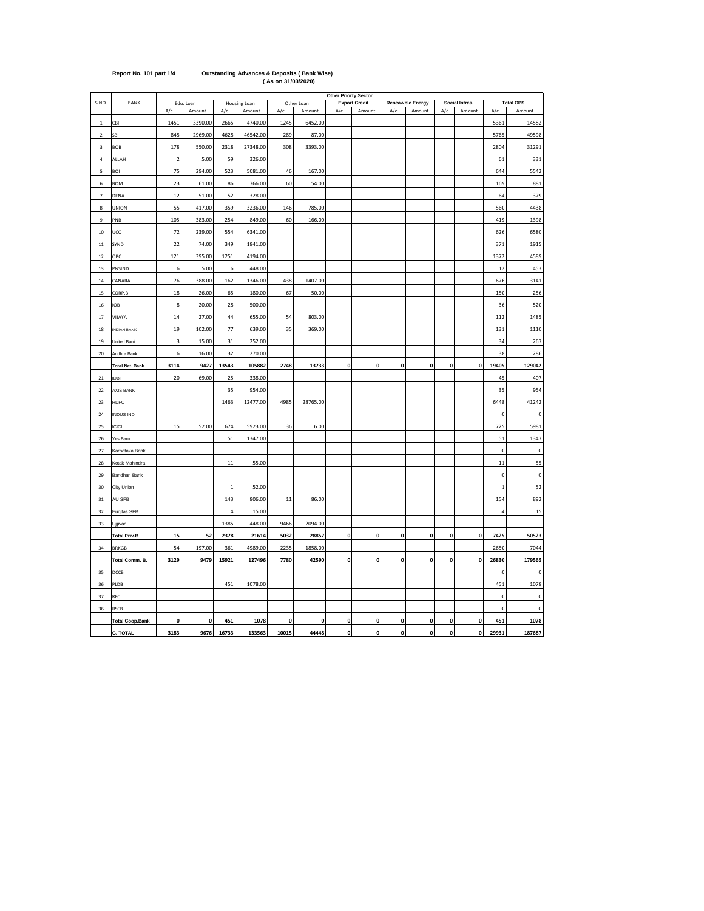|                          |                        |                         |                     |              |                        |              |                      | Other Priorty Sector |                                |                    |                            |              |                          |              |                            |
|--------------------------|------------------------|-------------------------|---------------------|--------------|------------------------|--------------|----------------------|----------------------|--------------------------------|--------------------|----------------------------|--------------|--------------------------|--------------|----------------------------|
| S.NO.                    | BANK                   | A/c                     | Edu. Loan<br>Amount | A/c          | Housing Loan<br>Amount | A/c          | Other Loan<br>Amount | A/c                  | <b>Export Credit</b><br>Amount | A/c                | Reneawble Energy<br>Amount | A/c          | Social Infras.<br>Amount | A/c          | <b>Total OPS</b><br>Amount |
| $\mathbf 1$              | CBI                    | 1451                    | 3390.00             | 2665         | 4740.00                | 1245         | 6452.00              |                      |                                |                    |                            |              |                          | 5361         | 14582                      |
| $\overline{2}$           | <b>SBI</b>             | 848                     | 2969.00             | 4628         | 46542.00               | 289          | 87.00                |                      |                                |                    |                            |              |                          | 5765         | 49598                      |
| $\mathsf 3$              | BOB                    | 178                     | 550.00              | 2318         | 27348.00               | 308          | 3393.00              |                      |                                |                    |                            |              |                          | 2804         | 31291                      |
| 4                        | ALLAH                  | $\overline{\mathbf{2}}$ | 5.00                | 59           | 326.00                 |              |                      |                      |                                |                    |                            |              |                          | 61           | 331                        |
| 5                        | <b>BOI</b>             | 75                      | 294.00              | 523          | 5081.00                | 46           | 167.00               |                      |                                |                    |                            |              |                          | 644          | 5542                       |
| 6                        | <b>BOM</b>             | 23                      | 61.00               | 86           | 766.00                 | 60           | 54.00                |                      |                                |                    |                            |              |                          | 169          | 881                        |
| $\overline{\phantom{a}}$ | DENA                   | 12                      | 51.00               | 52           | 328.00                 |              |                      |                      |                                |                    |                            |              |                          | 64           | 379                        |
| 8                        | <b>UNION</b>           | 55                      | 417.00              | 359          | 3236.00                | 146          | 785.00               |                      |                                |                    |                            |              |                          | 560          | 4438                       |
| 9                        | PNB                    | 105                     | 383.00              | 254          | 849.00                 | 60           | 166.00               |                      |                                |                    |                            |              |                          | 419          | 1398                       |
| $10\,$                   | UCO                    | 72                      | 239.00              | 554          | 6341.00                |              |                      |                      |                                |                    |                            |              |                          | 626          | 6580                       |
| $11\,$                   | SYND                   | 22                      | 74.00               | 349          | 1841.00                |              |                      |                      |                                |                    |                            |              |                          | 371          | 1915                       |
| $12\,$                   | OBC                    | 121                     | 395.00              | 1251         | 4194.00                |              |                      |                      |                                |                    |                            |              |                          | 1372         | 4589                       |
| $13\,$                   | P&SIND                 | 6                       | 5.00                | 6            | 448.00                 |              |                      |                      |                                |                    |                            |              |                          | 12           | 453                        |
| $14\,$                   | CANARA                 | 76                      | 388.00              | 162          | 1346.00                | 438          | 1407.00              |                      |                                |                    |                            |              |                          | 676          | 3141                       |
| 15                       | CORP.B                 | 18                      | 26.00               | 65           | 180.00                 | 67           | 50.00                |                      |                                |                    |                            |              |                          | 150          | 256                        |
| $16\,$                   | <b>IOB</b>             | 8                       | 20.00               | 28           | 500.00                 |              |                      |                      |                                |                    |                            |              |                          | 36           | 520                        |
| 17                       | VIJAYA                 | 14                      | 27.00               | 44           | 655.00                 | 54           | 803.00               |                      |                                |                    |                            |              |                          | 112          | 1485                       |
| 18                       | <b>INDIAN BANK</b>     | 19                      | 102.00              | 77           | 639.00                 | 35           | 369.00               |                      |                                |                    |                            |              |                          | 131          | 1110                       |
| 19                       | United Bank            | 3                       | 15.00               | 31           | 252.00                 |              |                      |                      |                                |                    |                            |              |                          | 34           | 267                        |
| $20\,$                   | Andhra Bank            | 6                       | 16.00               | 32           | 270.00                 |              |                      |                      |                                |                    |                            |              |                          | 38           | 286                        |
|                          | <b>Total Nat. Bank</b> | 3114                    | 9427                | 13543        | 105882                 | 2748         | 13733                | $\pmb{0}$            | $\pmb{\mathsf{o}}$             | $\pmb{\mathsf{o}}$ | $\mathbf{0}$               | 0            | 0                        | 19405        | 129042                     |
| $21\,$                   | <b>IDBI</b>            | 20                      | 69.00               | 25           | 338.00                 |              |                      |                      |                                |                    |                            |              |                          | 45           | 407                        |
| 22                       | AXIS BANK              |                         |                     | 35           | 954.00                 |              |                      |                      |                                |                    |                            |              |                          | 35           | 954                        |
| 23                       | <b>HDFC</b>            |                         |                     | 1463         | 12477.00               | 4985         | 28765.00             |                      |                                |                    |                            |              |                          | 6448         | 41242                      |
| 24                       | INDUS IND              |                         |                     |              |                        |              |                      |                      |                                |                    |                            |              |                          | $\bf{0}$     | $\bf{0}$                   |
| 25                       | <b>ICICI</b>           | 15                      | 52.00               | 674          | 5923.00                | 36           | 6.00                 |                      |                                |                    |                            |              |                          | 725          | 5981                       |
| 26                       | Yes Bank               |                         |                     | 51           | 1347.00                |              |                      |                      |                                |                    |                            |              |                          | 51           | 1347                       |
| 27                       | Karnataka Bank         |                         |                     |              |                        |              |                      |                      |                                |                    |                            |              |                          | $\pmb{0}$    | $\pmb{0}$                  |
| 28                       | Kotak Mahindra         |                         |                     | 11           | 55.00                  |              |                      |                      |                                |                    |                            |              |                          | 11           | 55                         |
| 29                       | Bandhan Bank           |                         |                     |              |                        |              |                      |                      |                                |                    |                            |              |                          | 0            | $\pmb{0}$                  |
| 30                       | City Union             |                         |                     | $\mathbf{1}$ | 52.00                  |              |                      |                      |                                |                    |                            |              |                          | $\mathbf{1}$ | 52                         |
| 31                       | AU SFB                 |                         |                     | 143          | 806.00                 | $11$         | 86.00                |                      |                                |                    |                            |              |                          | 154          | 892                        |
| 32                       | Euqitas SFB            |                         |                     | 4            | 15.00                  |              |                      |                      |                                |                    |                            |              |                          | 4            | 15                         |
| 33                       | Ujjivan                |                         |                     | 1385         | 448.00                 | 9466         | 2094.00              |                      |                                |                    |                            |              |                          |              |                            |
|                          | <b>Total Priv.B</b>    | 15                      | 52                  | 2378         | 21614                  | 5032         | 28857                | 0                    | 0                              | 0                  | 0                          | 0            | 0                        | 7425         | 50523                      |
| 34                       | <b>BRKGB</b>           | 54                      | 197.00              | 361          | 4989.00                | 2235         | 1858.00              |                      |                                |                    |                            |              |                          | 2650         | 7044                       |
|                          | Total Comm. B.         | 3129                    | 9479                | 15921        | 127496                 | 7780         | 42590                | $\mathbf 0$          | 0                              | 0                  | $\pmb{\mathsf{o}}$         | $\mathbf 0$  | 0                        | 26830        | 179565                     |
| 35                       | DCCB                   |                         |                     |              |                        |              |                      |                      |                                |                    |                            |              |                          | $\bf{0}$     | 0                          |
| 36                       | PLDB                   |                         |                     | 451          | 1078.00                |              |                      |                      |                                |                    |                            |              |                          | 451          | 1078                       |
| 37                       | RFC                    |                         |                     |              |                        |              |                      |                      |                                |                    |                            |              |                          | $\mathbf 0$  | $\mathbf 0$                |
| 36                       | <b>RSCB</b>            |                         |                     |              |                        |              |                      |                      |                                |                    |                            |              |                          | $\pmb{0}$    | $\pmb{0}$                  |
|                          | <b>Total Coop.Bank</b> | $\Omega$                | $\pmb{0}$           | 451          | 1078                   | $\mathbf{0}$ | $\Omega$             | $\mathbf{0}$         | 0                              | 0                  | $\Omega$                   | $\mathbf{0}$ | $\mathbf 0$              | 451          | 1078                       |
|                          | <b>G. TOTAL</b>        | 3183                    | 9676                | 16733        | 133563                 | 10015        | 44448                | 0                    | 0                              | 0                  | 0                          | 0            | 0                        | 29931        | 187687                     |

## **Report No. 101 part 1/4 Outstanding Advances & Deposits ( Bank Wise) ( As on 31/03/2020)**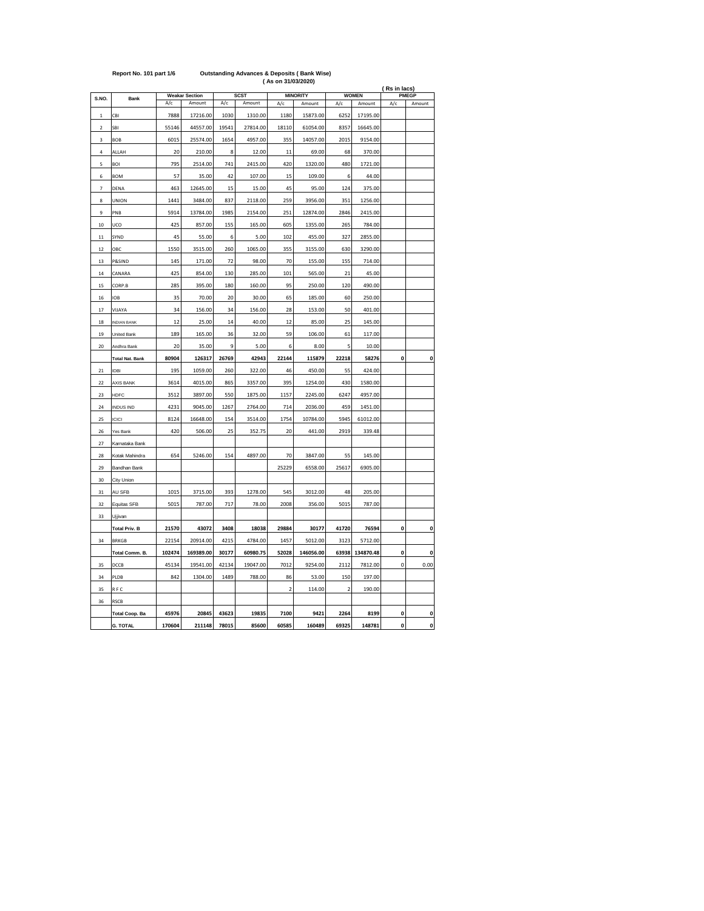|                |                        |        | (As on 31/03/2020)<br>(Rs in lacs) |       |             |                         |                 |                |              |              |              |  |  |  |
|----------------|------------------------|--------|------------------------------------|-------|-------------|-------------------------|-----------------|----------------|--------------|--------------|--------------|--|--|--|
| S.NO.          |                        |        | <b>Weakar Section</b>              |       | <b>SCST</b> |                         | <b>MINORITY</b> |                | <b>WOMEN</b> |              | <b>PMEGP</b> |  |  |  |
|                | Bank                   | A/c    | Amount                             | A/c   | Amount      | A/c                     | Amount          | A/c            | Amount       | A/c          | Amount       |  |  |  |
| $\mathbf{1}$   | CBI                    | 7888   | 17216.00                           | 1030  | 1310.00     | 1180                    | 15873.00        | 6252           | 17195.00     |              |              |  |  |  |
| $\overline{a}$ | SBI                    | 55146  | 44557.00                           | 19541 | 27814.00    | 18110                   | 61054.00        | 8357           | 16645.00     |              |              |  |  |  |
| 3              | BOB                    | 6015   | 25574.00                           | 1654  | 4957.00     | 355                     | 14057.00        | 2015           | 9154.00      |              |              |  |  |  |
| 4              | ALLAH                  | 20     | 210.00                             | 8     | 12.00       | 11                      | 69.00           | 68             | 370.00       |              |              |  |  |  |
| 5              | BOI                    | 795    | 2514.00                            | 741   | 2415.00     | 420                     | 1320.00         | 480            | 1721.00      |              |              |  |  |  |
| 6              | <b>BOM</b>             | 57     | 35.00                              | 42    | 107.00      | 15                      | 109.00          | 6              | 44.00        |              |              |  |  |  |
| $\overline{7}$ | DENA                   | 463    | 12645.00                           | 15    | 15.00       | 45                      | 95.00           | 124            | 375.00       |              |              |  |  |  |
| 8              | UNION                  | 1441   | 3484.00                            | 837   | 2118.00     | 259                     | 3956.00         | 351            | 1256.00      |              |              |  |  |  |
| 9              | PNB                    | 5914   | 13784.00                           | 1985  | 2154.00     | 251                     | 12874.00        | 2846           | 2415.00      |              |              |  |  |  |
| 10             | UCO                    | 425    | 857.00                             | 155   | 165.00      | 605                     | 1355.00         | 265            | 784.00       |              |              |  |  |  |
| 11             | SYND                   | 45     | 55.00                              | 6     | 5.00        | 102                     | 455.00          | 327            | 2855.00      |              |              |  |  |  |
| 12             | ОВС                    | 1550   | 3515.00                            | 260   | 1065.00     | 355                     | 3155.00         | 630            | 3290.00      |              |              |  |  |  |
| 13             | P&SIND                 | 145    | 171.00                             | 72    | 98.00       | 70                      | 155.00          | 155            | 714.00       |              |              |  |  |  |
| 14             | CANARA                 | 425    | 854.00                             | 130   | 285.00      | 101                     | 565.00          | 21             | 45.00        |              |              |  |  |  |
| 15             | CORP.B                 | 285    | 395.00                             | 180   | 160.00      | 95                      | 250.00          | 120            | 490.00       |              |              |  |  |  |
| 16             | IOB                    | 35     | 70.00                              | 20    | 30.00       | 65                      | 185.00          | 60             | 250.00       |              |              |  |  |  |
| 17             | VIJAYA                 | 34     | 156.00                             | 34    | 156.00      | 28                      | 153.00          | 50             | 401.00       |              |              |  |  |  |
| 18             | <b>INDIAN BANK</b>     | 12     | 25.00                              | 14    | 40.00       | 12                      | 85.00           | 25             | 145.00       |              |              |  |  |  |
| 19             | United Bank            | 189    | 165.00                             | 36    | 32.00       | 59                      | 106.00          | 61             | 117.00       |              |              |  |  |  |
| 20             | Andhra Bank            | 20     | 35.00                              | 9     | 5.00        | 6                       | 8.00            | 5              | 10.00        |              |              |  |  |  |
|                | <b>Total Nat. Bank</b> | 80904  | 126317                             | 26769 | 42943       | 22144                   | 115879          | 22218          | 58276        | 0            | O            |  |  |  |
| 21             | <b>IDBI</b>            | 195    | 1059.00                            | 260   | 322.00      | 46                      | 450.00          | 55             | 424.00       |              |              |  |  |  |
| 22             | AXIS BANK              | 3614   | 4015.00                            | 865   | 3357.00     | 395                     | 1254.00         | 430            | 1580.00      |              |              |  |  |  |
| 23             | HDFC                   | 3512   | 3897.00                            | 550   | 1875.00     | 1157                    | 2245.00         | 6247           | 4957.00      |              |              |  |  |  |
| 24             | INDUS IND              | 4231   | 9045.00                            | 1267  | 2764.00     | 714                     | 2036.00         | 459            | 1451.00      |              |              |  |  |  |
| 25             | ICICI                  | 8124   | 16648.00                           | 154   | 3514.00     | 1754                    | 10784.00        | 5945           | 61012.00     |              |              |  |  |  |
| 26             | Yes Bank               | 420    | 506.00                             | 25    | 352.75      | 20                      | 441.00          | 2919           | 339.48       |              |              |  |  |  |
| 27             | Karnataka Bank         |        |                                    |       |             |                         |                 |                |              |              |              |  |  |  |
| 28             | Kotak Mahindra         | 654    | 5246.00                            | 154   | 4897.00     | 70                      | 3847.00         | 55             | 145.00       |              |              |  |  |  |
| 29             | Bandhan Bank           |        |                                    |       |             | 25229                   | 6558.00         | 25617          | 6905.00      |              |              |  |  |  |
| 30             | City Union             |        |                                    |       |             |                         |                 |                |              |              |              |  |  |  |
| 31             | AU SFB                 | 1015   | 3715.00                            | 393   | 1278.00     | 545                     | 3012.00         | 48             | 205.00       |              |              |  |  |  |
| 32             | Equitas SFB            | 5015   | 787.00                             | 717   | 78.00       | 2008                    | 356.00          | 5015           | 787.00       |              |              |  |  |  |
| 33             | Ujjivan                |        |                                    |       |             |                         |                 |                |              |              |              |  |  |  |
|                | <b>Total Priv. B</b>   | 21570  | 43072                              | 3408  | 18038       | 29884                   | 30177           | 41720          | 76594        | 0            | O            |  |  |  |
| 34             | <b>BRKGB</b>           | 22154  | 20914.00                           | 4215  | 4784.00     | 1457                    | 5012.00         | 3123           | 5712.00      |              |              |  |  |  |
|                | Total Comm. B.         | 102474 | 169389.00                          | 30177 | 60980.75    | 52028                   | 146056.00       | 63938          | 134870.48    | 0            | O            |  |  |  |
| 35             | DCCB                   | 45134  | 19541.00                           | 42134 | 19047.00    | 7012                    | 9254.00         | 2112           | 7812.00      | 0            | 0.00         |  |  |  |
| 34             | PLDB                   | 842    | 1304.00                            | 1489  | 788.00      | 86                      | 53.00           | 150            | 197.00       |              |              |  |  |  |
| 35             | R F C                  |        |                                    |       |             | $\overline{\mathbf{c}}$ | 114.00          | $\overline{a}$ | 190.00       |              |              |  |  |  |
| 36             | RSCB                   |        |                                    |       |             |                         |                 |                |              |              |              |  |  |  |
|                | <b>Total Coop. Ba</b>  | 45976  | 20845                              | 43623 | 19835       | 7100                    | 9421            | 2264           | 8199         | $\mathbf{0}$ | O            |  |  |  |

**G. TOTAL 170604 211148 78015 85600 60585 160489 69325 148781 0 0**

## **Report No. 101 part 1/6 Outstanding Advances & Deposits ( Bank Wise)**